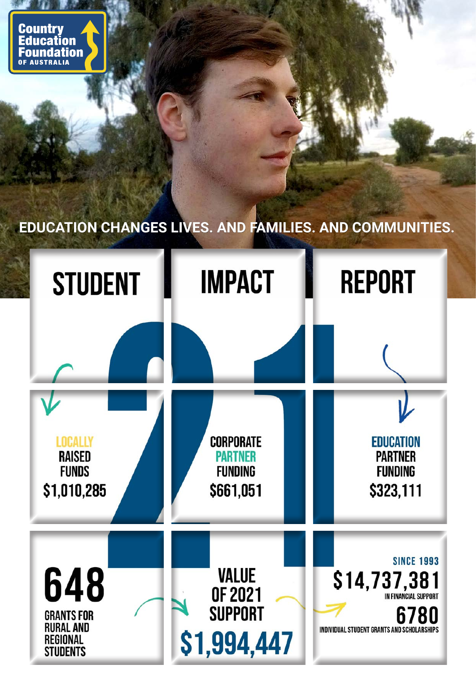**Country** Education<br>Foundation **AUSTRALIA** 

# **EDUCATION CHANGES LIVES. AND FAMILIES. AND COMMUNITIES.**